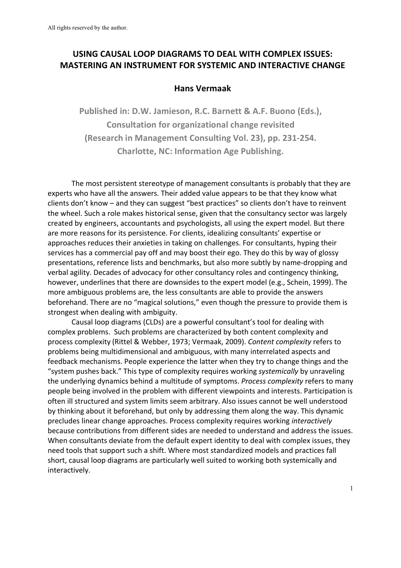# USING CAUSAL LOOP DIAGRAMS TO DEAL WITH COMPLEX ISSUES: **MASTERING AN INSTRUMENT FOR SYSTEMIC AND INTERACTIVE CHANGE**

# **Hans Vermaak**

Published in: D.W. Jamieson, R.C. Barnett & A.F. Buono (Eds.), **Consultation for organizational change revisited (Research in Management Consulting Vol. 23), pp. 231-254. Charlotte, NC: Information Age Publishing.** 

The most persistent stereotype of management consultants is probably that they are experts who have all the answers. Their added value appears to be that they know what clients don't know – and they can suggest "best practices" so clients don't have to reinvent the wheel. Such a role makes historical sense, given that the consultancy sector was largely created by engineers, accountants and psychologists, all using the expert model. But there are more reasons for its persistence. For clients, idealizing consultants' expertise or approaches reduces their anxieties in taking on challenges. For consultants, hyping their services has a commercial pay off and may boost their ego. They do this by way of glossy presentations, reference lists and benchmarks, but also more subtly by name-dropping and verbal agility. Decades of advocacy for other consultancy roles and contingency thinking, however, underlines that there are downsides to the expert model (e.g., Schein, 1999). The more ambiguous problems are, the less consultants are able to provide the answers beforehand. There are no "magical solutions," even though the pressure to provide them is strongest when dealing with ambiguity.

Causal loop diagrams (CLDs) are a powerful consultant's tool for dealing with complex problems. Such problems are characterized by both content complexity and process complexity (Rittel & Webber, 1973; Vermaak, 2009). *Content complexity* refers to problems being multidimensional and ambiguous, with many interrelated aspects and feedback mechanisms. People experience the latter when they try to change things and the "system pushes back." This type of complexity requires working *systemically* by unraveling the underlying dynamics behind a multitude of symptoms. *Process complexity* refers to many people being involved in the problem with different viewpoints and interests. Participation is often ill structured and system limits seem arbitrary. Also issues cannot be well understood by thinking about it beforehand, but only by addressing them along the way. This dynamic precludes linear change approaches. Process complexity requires working *interactively* because contributions from different sides are needed to understand and address the issues. When consultants deviate from the default expert identity to deal with complex issues, they need tools that support such a shift. Where most standardized models and practices fall short, causal loop diagrams are particularly well suited to working both systemically and interactively.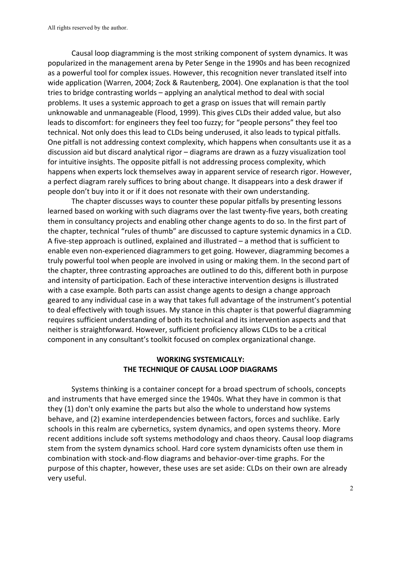Causal loop diagramming is the most striking component of system dynamics. It was popularized in the management arena by Peter Senge in the 1990s and has been recognized as a powerful tool for complex issues. However, this recognition never translated itself into wide application (Warren, 2004; Zock & Rautenberg, 2004). One explanation is that the tool tries to bridge contrasting worlds – applying an analytical method to deal with social problems. It uses a systemic approach to get a grasp on issues that will remain partly unknowable and unmanageable (Flood, 1999). This gives CLDs their added value, but also leads to discomfort: for engineers they feel too fuzzy; for "people persons" they feel too technical. Not only does this lead to CLDs being underused, it also leads to typical pitfalls. One pitfall is not addressing context complexity, which happens when consultants use it as a discussion aid but discard analytical rigor – diagrams are drawn as a fuzzy visualization tool for intuitive insights. The opposite pitfall is not addressing process complexity, which happens when experts lock themselves away in apparent service of research rigor. However, a perfect diagram rarely suffices to bring about change. It disappears into a desk drawer if people don't buy into it or if it does not resonate with their own understanding.

The chapter discusses ways to counter these popular pitfalls by presenting lessons learned based on working with such diagrams over the last twenty-five years, both creating them in consultancy projects and enabling other change agents to do so. In the first part of the chapter, technical "rules of thumb" are discussed to capture systemic dynamics in a CLD. A five-step approach is outlined, explained and illustrated  $-$  a method that is sufficient to enable even non-experienced diagrammers to get going. However, diagramming becomes a truly powerful tool when people are involved in using or making them. In the second part of the chapter, three contrasting approaches are outlined to do this, different both in purpose and intensity of participation. Each of these interactive intervention designs is illustrated with a case example. Both parts can assist change agents to design a change approach geared to any individual case in a way that takes full advantage of the instrument's potential to deal effectively with tough issues. My stance in this chapter is that powerful diagramming requires sufficient understanding of both its technical and its intervention aspects and that neither is straightforward. However, sufficient proficiency allows CLDs to be a critical component in any consultant's toolkit focused on complex organizational change.

# **WORKING SYSTEMICALLY: THE TECHNIQUE OF CAUSAL LOOP DIAGRAMS**

Systems thinking is a container concept for a broad spectrum of schools, concepts and instruments that have emerged since the 1940s. What they have in common is that they (1) don't only examine the parts but also the whole to understand how systems behave, and (2) examine interdependencies between factors, forces and suchlike. Early schools in this realm are cybernetics, system dynamics, and open systems theory. More recent additions include soft systems methodology and chaos theory. Causal loop diagrams stem from the system dynamics school. Hard core system dynamicists often use them in combination with stock-and-flow diagrams and behavior-over-time graphs. For the purpose of this chapter, however, these uses are set aside: CLDs on their own are already very useful.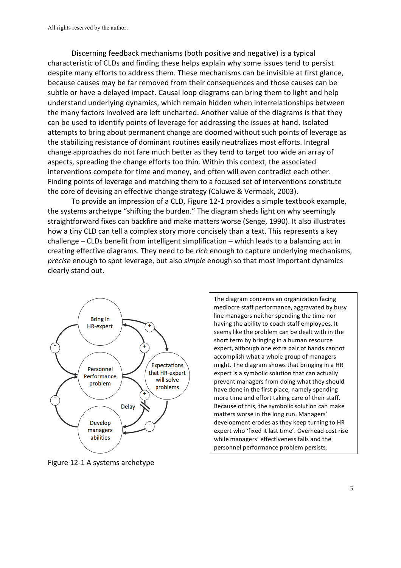Discerning feedback mechanisms (both positive and negative) is a typical characteristic of CLDs and finding these helps explain why some issues tend to persist despite many efforts to address them. These mechanisms can be invisible at first glance, because causes may be far removed from their consequences and those causes can be subtle or have a delayed impact. Causal loop diagrams can bring them to light and help understand underlying dynamics, which remain hidden when interrelationships between the many factors involved are left uncharted. Another value of the diagrams is that they can be used to identify points of leverage for addressing the issues at hand. Isolated attempts to bring about permanent change are doomed without such points of leverage as the stabilizing resistance of dominant routines easily neutralizes most efforts. Integral change approaches do not fare much better as they tend to target too wide an array of aspects, spreading the change efforts too thin. Within this context, the associated interventions compete for time and money, and often will even contradict each other. Finding points of leverage and matching them to a focused set of interventions constitute the core of devising an effective change strategy (Caluwe & Vermaak, 2003).

To provide an impression of a CLD, Figure 12-1 provides a simple textbook example, the systems archetype "shifting the burden." The diagram sheds light on why seemingly straightforward fixes can backfire and make matters worse (Senge, 1990). It also illustrates how a tiny CLD can tell a complex story more concisely than a text. This represents a key challenge – CLDs benefit from intelligent simplification – which leads to a balancing act in creating effective diagrams. They need to be *rich* enough to capture underlying mechanisms, *precise* enough to spot leverage, but also *simple* enough so that most important dynamics clearly stand out.



Figure 12-1 A systems archetype

The diagram concerns an organization facing mediocre staff performance, aggravated by busy line managers neither spending the time nor having the ability to coach staff employees. It seems like the problem can be dealt with in the short term by bringing in a human resource expert, although one extra pair of hands cannot accomplish what a whole group of managers might. The diagram shows that bringing in a HR expert is a symbolic solution that can actually prevent managers from doing what they should have done in the first place, namely spending more time and effort taking care of their staff. Because of this, the symbolic solution can make matters worse in the long run. Managers' development erodes as they keep turning to HR expert who 'fixed it last time'. Overhead cost rise while managers' effectiveness falls and the personnel performance problem persists.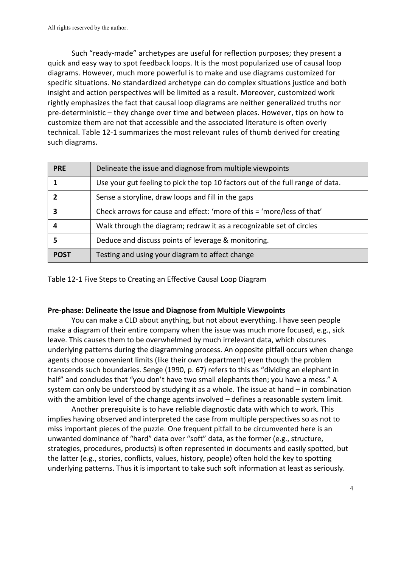Such "ready-made" archetypes are useful for reflection purposes; they present a quick and easy way to spot feedback loops. It is the most popularized use of causal loop diagrams. However, much more powerful is to make and use diagrams customized for specific situations. No standardized archetype can do complex situations justice and both insight and action perspectives will be limited as a result. Moreover, customized work rightly emphasizes the fact that causal loop diagrams are neither generalized truths nor pre-deterministic – they change over time and between places. However, tips on how to customize them are not that accessible and the associated literature is often overly technical. Table 12-1 summarizes the most relevant rules of thumb derived for creating such diagrams.

| <b>PRE</b>  | Delineate the issue and diagnose from multiple viewpoints                      |  |
|-------------|--------------------------------------------------------------------------------|--|
|             | Use your gut feeling to pick the top 10 factors out of the full range of data. |  |
|             | Sense a storyline, draw loops and fill in the gaps                             |  |
|             | Check arrows for cause and effect: 'more of this = 'more/less of that'         |  |
|             | Walk through the diagram; redraw it as a recognizable set of circles           |  |
|             | Deduce and discuss points of leverage & monitoring.                            |  |
| <b>POST</b> | Testing and using your diagram to affect change                                |  |

Table 12-1 Five Steps to Creating an Effective Causal Loop Diagram

#### Pre-phase: Delineate the Issue and Diagnose from Multiple Viewpoints

You can make a CLD about anything, but not about everything. I have seen people make a diagram of their entire company when the issue was much more focused, e.g., sick leave. This causes them to be overwhelmed by much irrelevant data, which obscures underlying patterns during the diagramming process. An opposite pitfall occurs when change agents choose convenient limits (like their own department) even though the problem transcends such boundaries. Senge (1990, p. 67) refers to this as "dividing an elephant in half" and concludes that "you don't have two small elephants then; you have a mess." A system can only be understood by studying it as a whole. The issue at hand  $-$  in combination with the ambition level of the change agents involved  $-$  defines a reasonable system limit.

Another prerequisite is to have reliable diagnostic data with which to work. This implies having observed and interpreted the case from multiple perspectives so as not to miss important pieces of the puzzle. One frequent pitfall to be circumvented here is an unwanted dominance of "hard" data over "soft" data, as the former (e.g., structure, strategies, procedures, products) is often represented in documents and easily spotted, but the latter (e.g., stories, conflicts, values, history, people) often hold the key to spotting underlying patterns. Thus it is important to take such soft information at least as seriously.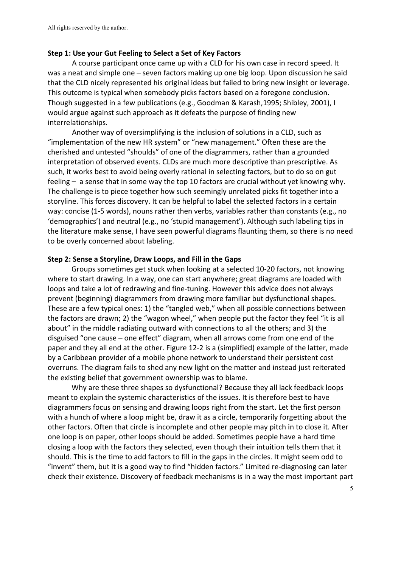#### **Step 1: Use your Gut Feeling to Select a Set of Key Factors**

A course participant once came up with a CLD for his own case in record speed. It was a neat and simple one – seven factors making up one big loop. Upon discussion he said that the CLD nicely represented his original ideas but failed to bring new insight or leverage. This outcome is typical when somebody picks factors based on a foregone conclusion. Though suggested in a few publications (e.g., Goodman & Karash,1995; Shibley, 2001), I would argue against such approach as it defeats the purpose of finding new interrelationships. 

Another way of oversimplifying is the inclusion of solutions in a CLD, such as "implementation of the new HR system" or "new management." Often these are the cherished and untested "shoulds" of one of the diagrammers, rather than a grounded interpretation of observed events. CLDs are much more descriptive than prescriptive. As such, it works best to avoid being overly rational in selecting factors, but to do so on gut feeling  $-$  a sense that in some way the top 10 factors are crucial without yet knowing why. The challenge is to piece together how such seemingly unrelated picks fit together into a storyline. This forces discovery. It can be helpful to label the selected factors in a certain way: concise (1-5 words), nouns rather then verbs, variables rather than constants (e.g., no 'demographics') and neutral (e.g., no 'stupid management'). Although such labeling tips in the literature make sense, I have seen powerful diagrams flaunting them, so there is no need to be overly concerned about labeling.

#### **Step 2: Sense a Storyline, Draw Loops, and Fill in the Gaps**

Groups sometimes get stuck when looking at a selected 10-20 factors, not knowing where to start drawing. In a way, one can start anywhere; great diagrams are loaded with loops and take a lot of redrawing and fine-tuning. However this advice does not always prevent (beginning) diagrammers from drawing more familiar but dysfunctional shapes. These are a few typical ones: 1) the "tangled web," when all possible connections between the factors are drawn; 2) the "wagon wheel," when people put the factor they feel "it is all about" in the middle radiating outward with connections to all the others; and 3) the disguised "one cause  $-$  one effect" diagram, when all arrows come from one end of the paper and they all end at the other. Figure 12-2 is a (simplified) example of the latter, made by a Caribbean provider of a mobile phone network to understand their persistent cost overruns. The diagram fails to shed any new light on the matter and instead just reiterated the existing belief that government ownership was to blame.

Why are these three shapes so dysfunctional? Because they all lack feedback loops meant to explain the systemic characteristics of the issues. It is therefore best to have diagrammers focus on sensing and drawing loops right from the start. Let the first person with a hunch of where a loop might be, draw it as a circle, temporarily forgetting about the other factors. Often that circle is incomplete and other people may pitch in to close it. After one loop is on paper, other loops should be added. Sometimes people have a hard time closing a loop with the factors they selected, even though their intuition tells them that it should. This is the time to add factors to fill in the gaps in the circles. It might seem odd to "invent" them, but it is a good way to find "hidden factors." Limited re-diagnosing can later check their existence. Discovery of feedback mechanisms is in a way the most important part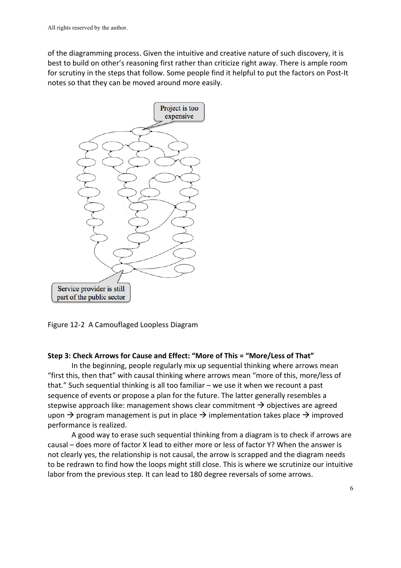of the diagramming process. Given the intuitive and creative nature of such discovery, it is best to build on other's reasoning first rather than criticize right away. There is ample room for scrutiny in the steps that follow. Some people find it helpful to put the factors on Post-It notes so that they can be moved around more easily.



Figure 12-2 A Camouflaged Loopless Diagram

### **Step 3: Check Arrows for Cause and Effect: "More of This = "More/Less of That"**

In the beginning, people regularly mix up sequential thinking where arrows mean "first this, then that" with causal thinking where arrows mean "more of this, more/less of that." Such sequential thinking is all too familiar – we use it when we recount a past sequence of events or propose a plan for the future. The latter generally resembles a stepwise approach like: management shows clear commitment  $\rightarrow$  objectives are agreed upon  $\rightarrow$  program management is put in place  $\rightarrow$  implementation takes place  $\rightarrow$  improved performance is realized.

A good way to erase such sequential thinking from a diagram is to check if arrows are causal – does more of factor X lead to either more or less of factor Y? When the answer is not clearly yes, the relationship is not causal, the arrow is scrapped and the diagram needs to be redrawn to find how the loops might still close. This is where we scrutinize our intuitive labor from the previous step. It can lead to 180 degree reversals of some arrows.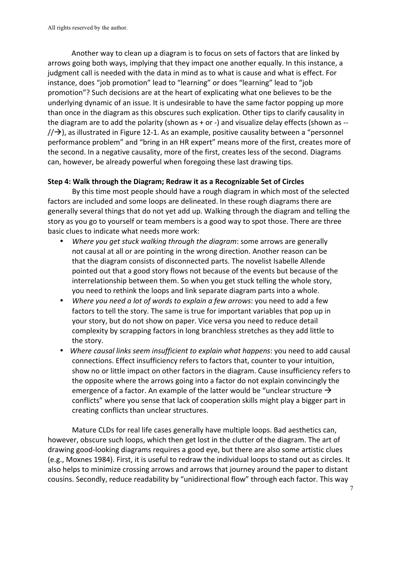Another way to clean up a diagram is to focus on sets of factors that are linked by arrows going both ways, implying that they impact one another equally. In this instance, a judgment call is needed with the data in mind as to what is cause and what is effect. For instance, does "job promotion" lead to "learning" or does "learning" lead to "job promotion"? Such decisions are at the heart of explicating what one believes to be the underlying dynamic of an issue. It is undesirable to have the same factor popping up more than once in the diagram as this obscures such explication. Other tips to clarify causality in the diagram are to add the polarity (shown as  $+$  or  $-$ ) and visualize delay effects (shown as  $/$  $\rightarrow$ ), as illustrated in Figure 12-1. As an example, positive causality between a "personnel performance problem" and "bring in an HR expert" means more of the first, creates more of the second. In a negative causality, more of the first, creates less of the second. Diagrams can, however, be already powerful when foregoing these last drawing tips.

### **Step 4: Walk through the Diagram; Redraw it as a Recognizable Set of Circles**

By this time most people should have a rough diagram in which most of the selected factors are included and some loops are delineated. In these rough diagrams there are generally several things that do not yet add up. Walking through the diagram and telling the story as you go to yourself or team members is a good way to spot those. There are three basic clues to indicate what needs more work:

- *Where you get stuck walking through the diagram: some arrows are generally* not causal at all or are pointing in the wrong direction. Another reason can be that the diagram consists of disconnected parts. The novelist Isabelle Allende pointed out that a good story flows not because of the events but because of the interrelationship between them. So when you get stuck telling the whole story, you need to rethink the loops and link separate diagram parts into a whole.
- *Where you need a lot of words to explain a few arrows*: you need to add a few factors to tell the story. The same is true for important variables that pop up in your story, but do not show on paper. Vice versa you need to reduce detail complexity by scrapping factors in long branchless stretches as they add little to the story.
- *Where causal links seem insufficient to explain what happens:* you need to add causal connections. Effect insufficiency refers to factors that, counter to your intuition, show no or little impact on other factors in the diagram. Cause insufficiency refers to the opposite where the arrows going into a factor do not explain convincingly the emergence of a factor. An example of the latter would be "unclear structure  $\rightarrow$ conflicts" where you sense that lack of cooperation skills might play a bigger part in creating conflicts than unclear structures.

Mature CLDs for real life cases generally have multiple loops. Bad aesthetics can, however, obscure such loops, which then get lost in the clutter of the diagram. The art of drawing good-looking diagrams requires a good eye, but there are also some artistic clues (e.g., Moxnes 1984). First, it is useful to redraw the individual loops to stand out as circles. It also helps to minimize crossing arrows and arrows that journey around the paper to distant cousins. Secondly, reduce readability by "unidirectional flow" through each factor. This way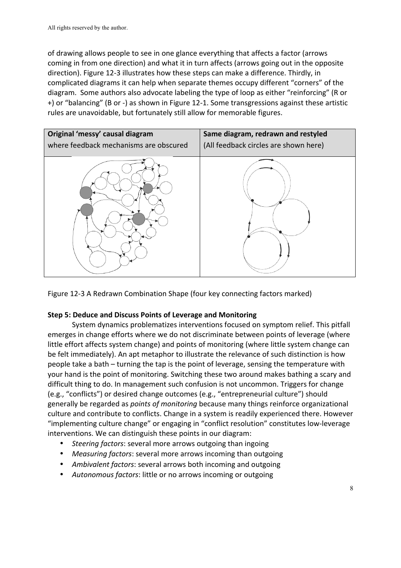of drawing allows people to see in one glance everything that affects a factor (arrows coming in from one direction) and what it in turn affects (arrows going out in the opposite direction). Figure 12-3 illustrates how these steps can make a difference. Thirdly, in complicated diagrams it can help when separate themes occupy different "corners" of the diagram. Some authors also advocate labeling the type of loop as either "reinforcing" (R or +) or "balancing" (B or -) as shown in Figure 12-1. Some transgressions against these artistic rules are unavoidable, but fortunately still allow for memorable figures.



Figure 12-3 A Redrawn Combination Shape (four key connecting factors marked)

# **Step 5: Deduce and Discuss Points of Leverage and Monitoring**

System dynamics problematizes interventions focused on symptom relief. This pitfall emerges in change efforts where we do not discriminate between points of leverage (where little effort affects system change) and points of monitoring (where little system change can be felt immediately). An apt metaphor to illustrate the relevance of such distinction is how people take a bath – turning the tap is the point of leverage, sensing the temperature with your hand is the point of monitoring. Switching these two around makes bathing a scary and difficult thing to do. In management such confusion is not uncommon. Triggers for change (e.g., "conflicts") or desired change outcomes (e.g., "entrepreneurial culture") should generally be regarded as *points of monitoring* because many things reinforce organizational culture and contribute to conflicts. Change in a system is readily experienced there. However "implementing culture change" or engaging in "conflict resolution" constitutes low-leverage interventions. We can distinguish these points in our diagram:

- Steering factors: several more arrows outgoing than ingoing
- Measuring factors: several more arrows incoming than outgoing
- Ambivalent factors: several arrows both incoming and outgoing
- Autonomous factors: little or no arrows incoming or outgoing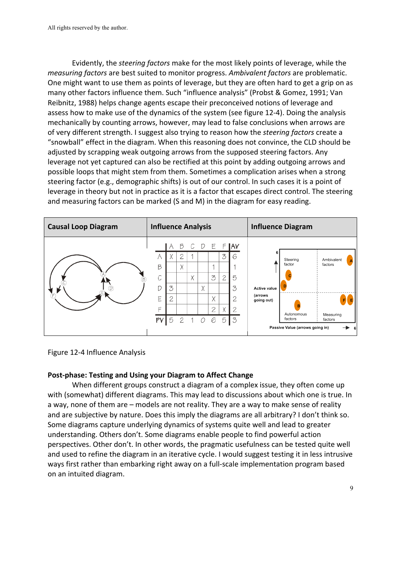Evidently, the *steering factors* make for the most likely points of leverage, while the *measuring factors* are best suited to monitor progress. Ambivalent factors are problematic. One might want to use them as points of leverage, but they are often hard to get a grip on as many other factors influence them. Such "influence analysis" (Probst & Gomez, 1991; Van Reibnitz, 1988) helps change agents escape their preconceived notions of leverage and assess how to make use of the dynamics of the system (see figure 12-4). Doing the analysis mechanically by counting arrows, however, may lead to false conclusions when arrows are of very different strength. I suggest also trying to reason how the *steering factors* create a "snowball" effect in the diagram. When this reasoning does not convince, the CLD should be adjusted by scrapping weak outgoing arrows from the supposed steering factors. Any leverage not yet captured can also be rectified at this point by adding outgoing arrows and possible loops that might stem from them. Sometimes a complication arises when a strong steering factor (e.g., demographic shifts) is out of our control. In such cases it is a point of leverage in theory but not in practice as it is a factor that escapes direct control. The steering and measuring factors can be marked (S and M) in the diagram for easy reading.



Figure 12-4 Influence Analysis

### Post-phase: Testing and Using your Diagram to Affect Change

When different groups construct a diagram of a complex issue, they often come up with (somewhat) different diagrams. This may lead to discussions about which one is true. In a way, none of them are – models are not reality. They are a way to make sense of reality and are subjective by nature. Does this imply the diagrams are all arbitrary? I don't think so. Some diagrams capture underlying dynamics of systems quite well and lead to greater understanding. Others don't. Some diagrams enable people to find powerful action perspectives. Other don't. In other words, the pragmatic usefulness can be tested quite well and used to refine the diagram in an iterative cycle. I would suggest testing it in less intrusive ways first rather than embarking right away on a full-scale implementation program based on an intuited diagram.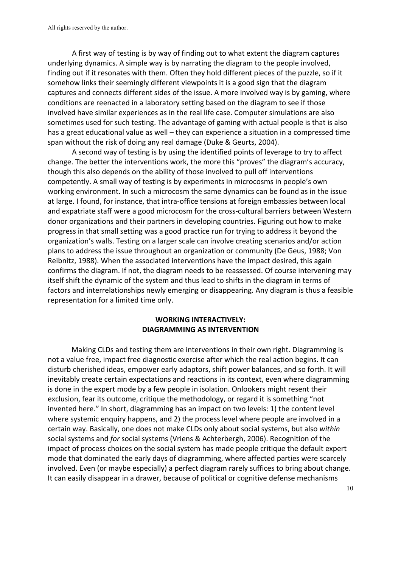A first way of testing is by way of finding out to what extent the diagram captures underlying dynamics. A simple way is by narrating the diagram to the people involved, finding out if it resonates with them. Often they hold different pieces of the puzzle, so if it somehow links their seemingly different viewpoints it is a good sign that the diagram captures and connects different sides of the issue. A more involved way is by gaming, where conditions are reenacted in a laboratory setting based on the diagram to see if those involved have similar experiences as in the real life case. Computer simulations are also sometimes used for such testing. The advantage of gaming with actual people is that is also has a great educational value as well – they can experience a situation in a compressed time span without the risk of doing any real damage (Duke & Geurts, 2004).

A second way of testing is by using the identified points of leverage to try to affect change. The better the interventions work, the more this "proves" the diagram's accuracy, though this also depends on the ability of those involved to pull off interventions competently. A small way of testing is by experiments in microcosms in people's own working environment. In such a microcosm the same dynamics can be found as in the issue at large. I found, for instance, that intra-office tensions at foreign embassies between local and expatriate staff were a good microcosm for the cross-cultural barriers between Western donor organizations and their partners in developing countries. Figuring out how to make progress in that small setting was a good practice run for trying to address it beyond the organization's walls. Testing on a larger scale can involve creating scenarios and/or action plans to address the issue throughout an organization or community (De Geus, 1988; Von Reibnitz, 1988). When the associated interventions have the impact desired, this again confirms the diagram. If not, the diagram needs to be reassessed. Of course intervening may itself shift the dynamic of the system and thus lead to shifts in the diagram in terms of factors and interrelationships newly emerging or disappearing. Any diagram is thus a feasible representation for a limited time only.

# **WORKING INTERACTIVELY: DIAGRAMMING AS INTERVENTION**

Making CLDs and testing them are interventions in their own right. Diagramming is not a value free, impact free diagnostic exercise after which the real action begins. It can disturb cherished ideas, empower early adaptors, shift power balances, and so forth. It will inevitably create certain expectations and reactions in its context, even where diagramming is done in the expert mode by a few people in isolation. Onlookers might resent their exclusion, fear its outcome, critique the methodology, or regard it is something "not invented here." In short, diagramming has an impact on two levels: 1) the content level where systemic enquiry happens, and 2) the process level where people are involved in a certain way. Basically, one does not make CLDs only about social systems, but also within social systems and *for* social systems (Vriens & Achterbergh, 2006). Recognition of the impact of process choices on the social system has made people critique the default expert mode that dominated the early days of diagramming, where affected parties were scarcely involved. Even (or maybe especially) a perfect diagram rarely suffices to bring about change. It can easily disappear in a drawer, because of political or cognitive defense mechanisms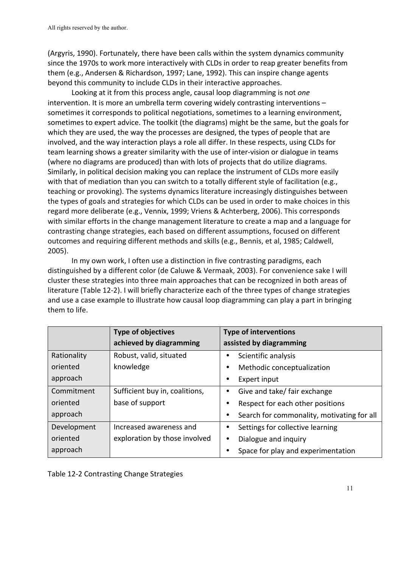(Argyris, 1990). Fortunately, there have been calls within the system dynamics community since the 1970s to work more interactively with CLDs in order to reap greater benefits from them (e.g., Andersen & Richardson, 1997; Lane, 1992). This can inspire change agents beyond this community to include CLDs in their interactive approaches.

Looking at it from this process angle, causal loop diagramming is not *one* intervention. It is more an umbrella term covering widely contrasting interventions  $$ sometimes it corresponds to political negotiations, sometimes to a learning environment, sometimes to expert advice. The toolkit (the diagrams) might be the same, but the goals for which they are used, the way the processes are designed, the types of people that are involved, and the way interaction plays a role all differ. In these respects, using CLDs for team learning shows a greater similarity with the use of inter-vision or dialogue in teams (where no diagrams are produced) than with lots of projects that do utilize diagrams. Similarly, in political decision making you can replace the instrument of CLDs more easily with that of mediation than you can switch to a totally different style of facilitation (e.g., teaching or provoking). The systems dynamics literature increasingly distinguishes between the types of goals and strategies for which CLDs can be used in order to make choices in this regard more deliberate (e.g., Vennix, 1999; Vriens & Achterberg, 2006). This corresponds with similar efforts in the change management literature to create a map and a language for contrasting change strategies, each based on different assumptions, focused on different outcomes and requiring different methods and skills (e.g., Bennis, et al, 1985; Caldwell, 2005). 

In my own work, I often use a distinction in five contrasting paradigms, each distinguished by a different color (de Caluwe & Vermaak, 2003). For convenience sake I will cluster these strategies into three main approaches that can be recognized in both areas of literature (Table 12-2). I will briefly characterize each of the three types of change strategies and use a case example to illustrate how causal loop diagramming can play a part in bringing them to life.

|             | <b>Type of objectives</b>      | <b>Type of interventions</b>               |
|-------------|--------------------------------|--------------------------------------------|
|             | achieved by diagramming        | assisted by diagramming                    |
| Rationality | Robust, valid, situated        | Scientific analysis                        |
| oriented    | knowledge                      | Methodic conceptualization<br>٠            |
| approach    |                                | Expert input                               |
| Commitment  | Sufficient buy in, coalitions, | Give and take/ fair exchange               |
| oriented    | base of support                | Respect for each other positions           |
| approach    |                                | Search for commonality, motivating for all |
| Development | Increased awareness and        | Settings for collective learning           |
| oriented    | exploration by those involved  | Dialogue and inquiry<br>٠                  |
| approach    |                                | Space for play and experimentation         |

Table 12-2 Contrasting Change Strategies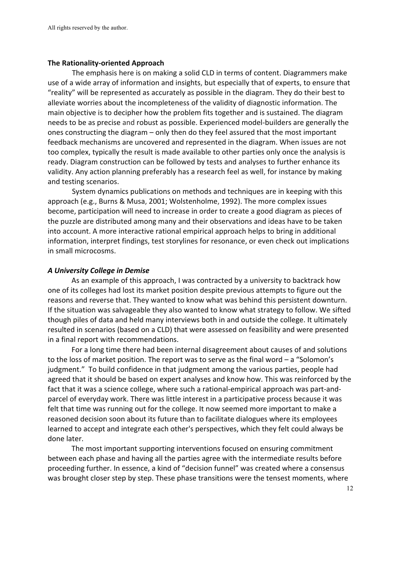#### **The Rationality-oriented Approach**

The emphasis here is on making a solid CLD in terms of content. Diagrammers make use of a wide array of information and insights, but especially that of experts, to ensure that "reality" will be represented as accurately as possible in the diagram. They do their best to alleviate worries about the incompleteness of the validity of diagnostic information. The main objective is to decipher how the problem fits together and is sustained. The diagram needs to be as precise and robust as possible. Experienced model-builders are generally the ones constructing the diagram – only then do they feel assured that the most important feedback mechanisms are uncovered and represented in the diagram. When issues are not too complex, typically the result is made available to other parties only once the analysis is ready. Diagram construction can be followed by tests and analyses to further enhance its validity. Any action planning preferably has a research feel as well, for instance by making and testing scenarios.

System dynamics publications on methods and techniques are in keeping with this approach (e.g., Burns & Musa, 2001; Wolstenholme, 1992). The more complex issues become, participation will need to increase in order to create a good diagram as pieces of the puzzle are distributed among many and their observations and ideas have to be taken into account. A more interactive rational empirical approach helps to bring in additional information, interpret findings, test storylines for resonance, or even check out implications in small microcosms.

#### *A University College in Demise*

As an example of this approach, I was contracted by a university to backtrack how one of its colleges had lost its market position despite previous attempts to figure out the reasons and reverse that. They wanted to know what was behind this persistent downturn. If the situation was salvageable they also wanted to know what strategy to follow. We sifted though piles of data and held many interviews both in and outside the college. It ultimately resulted in scenarios (based on a CLD) that were assessed on feasibility and were presented in a final report with recommendations.

For a long time there had been internal disagreement about causes of and solutions to the loss of market position. The report was to serve as the final word  $-$  a "Solomon's judgment." To build confidence in that judgment among the various parties, people had agreed that it should be based on expert analyses and know how. This was reinforced by the fact that it was a science college, where such a rational-empirical approach was part-andparcel of everyday work. There was little interest in a participative process because it was felt that time was running out for the college. It now seemed more important to make a reasoned decision soon about its future than to facilitate dialogues where its employees learned to accept and integrate each other's perspectives, which they felt could always be done later.

The most important supporting interventions focused on ensuring commitment between each phase and having all the parties agree with the intermediate results before proceeding further. In essence, a kind of "decision funnel" was created where a consensus was brought closer step by step. These phase transitions were the tensest moments, where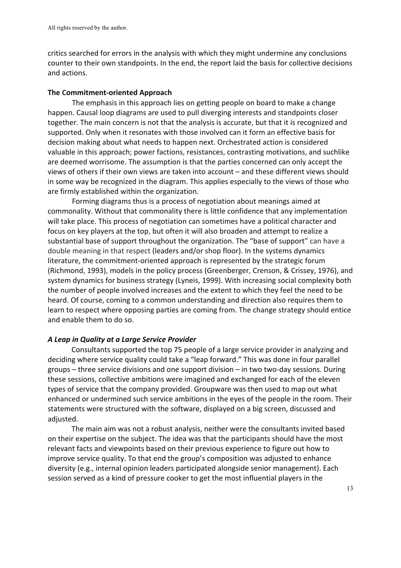critics searched for errors in the analysis with which they might undermine any conclusions counter to their own standpoints. In the end, the report laid the basis for collective decisions and actions. 

#### **The Commitment-oriented Approach**

The emphasis in this approach lies on getting people on board to make a change happen. Causal loop diagrams are used to pull diverging interests and standpoints closer together. The main concern is not that the analysis is accurate, but that it is recognized and supported. Only when it resonates with those involved can it form an effective basis for decision making about what needs to happen next. Orchestrated action is considered valuable in this approach; power factions, resistances, contrasting motivations, and suchlike are deemed worrisome. The assumption is that the parties concerned can only accept the views of others if their own views are taken into account – and these different views should in some way be recognized in the diagram. This applies especially to the views of those who are firmly established within the organization.

Forming diagrams thus is a process of negotiation about meanings aimed at commonality. Without that commonality there is little confidence that any implementation will take place. This process of negotiation can sometimes have a political character and focus on key players at the top, but often it will also broaden and attempt to realize a substantial base of support throughout the organization. The "base of support" can have a double meaning in that respect (leaders and/or shop floor). In the systems dynamics literature, the commitment-oriented approach is represented by the strategic forum (Richmond, 1993), models in the policy process (Greenberger, Crenson, & Crissey, 1976), and system dynamics for business strategy (Lyneis, 1999). With increasing social complexity both the number of people involved increases and the extent to which they feel the need to be heard. Of course, coming to a common understanding and direction also requires them to learn to respect where opposing parties are coming from. The change strategy should entice and enable them to do so.

### *A Leap in Quality at a Large Service Provider*

Consultants supported the top 75 people of a large service provider in analyzing and deciding where service quality could take a "leap forward." This was done in four parallel groups – three service divisions and one support division – in two two-day sessions. During these sessions, collective ambitions were imagined and exchanged for each of the eleven types of service that the company provided. Groupware was then used to map out what enhanced or undermined such service ambitions in the eyes of the people in the room. Their statements were structured with the software, displayed on a big screen, discussed and adjusted. 

The main aim was not a robust analysis, neither were the consultants invited based on their expertise on the subject. The idea was that the participants should have the most relevant facts and viewpoints based on their previous experience to figure out how to improve service quality. To that end the group's composition was adjusted to enhance diversity (e.g., internal opinion leaders participated alongside senior management). Each session served as a kind of pressure cooker to get the most influential players in the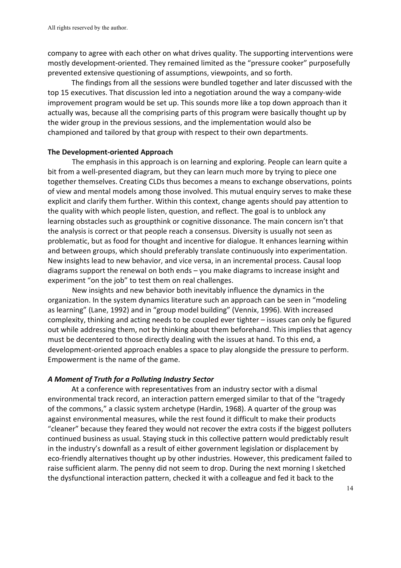company to agree with each other on what drives quality. The supporting interventions were mostly development-oriented. They remained limited as the "pressure cooker" purposefully prevented extensive questioning of assumptions, viewpoints, and so forth.

The findings from all the sessions were bundled together and later discussed with the top 15 executives. That discussion led into a negotiation around the way a company-wide improvement program would be set up. This sounds more like a top down approach than it actually was, because all the comprising parts of this program were basically thought up by the wider group in the previous sessions, and the implementation would also be championed and tailored by that group with respect to their own departments.

### **The Development-oriented Approach**

The emphasis in this approach is on learning and exploring. People can learn quite a bit from a well-presented diagram, but they can learn much more by trying to piece one together themselves. Creating CLDs thus becomes a means to exchange observations, points of view and mental models among those involved. This mutual enquiry serves to make these explicit and clarify them further. Within this context, change agents should pay attention to the quality with which people listen, question, and reflect. The goal is to unblock any learning obstacles such as groupthink or cognitive dissonance. The main concern isn't that the analysis is correct or that people reach a consensus. Diversity is usually not seen as problematic, but as food for thought and incentive for dialogue. It enhances learning within and between groups, which should preferably translate continuously into experimentation. New insights lead to new behavior, and vice versa, in an incremental process. Causal loop diagrams support the renewal on both ends  $-$  you make diagrams to increase insight and experiment "on the job" to test them on real challenges.

New insights and new behavior both inevitably influence the dynamics in the organization. In the system dynamics literature such an approach can be seen in "modeling as learning" (Lane, 1992) and in "group model building" (Vennix, 1996). With increased complexity, thinking and acting needs to be coupled ever tighter – issues can only be figured out while addressing them, not by thinking about them beforehand. This implies that agency must be decentered to those directly dealing with the issues at hand. To this end, a development-oriented approach enables a space to play alongside the pressure to perform. Empowerment is the name of the game.

# *A Moment of Truth for a Polluting Industry Sector*

At a conference with representatives from an industry sector with a dismal environmental track record, an interaction pattern emerged similar to that of the "tragedy of the commons," a classic system archetype (Hardin, 1968). A quarter of the group was against environmental measures, while the rest found it difficult to make their products "cleaner" because they feared they would not recover the extra costs if the biggest polluters continued business as usual. Staying stuck in this collective pattern would predictably result in the industry's downfall as a result of either government legislation or displacement by eco-friendly alternatives thought up by other industries. However, this predicament failed to raise sufficient alarm. The penny did not seem to drop. During the next morning I sketched the dysfunctional interaction pattern, checked it with a colleague and fed it back to the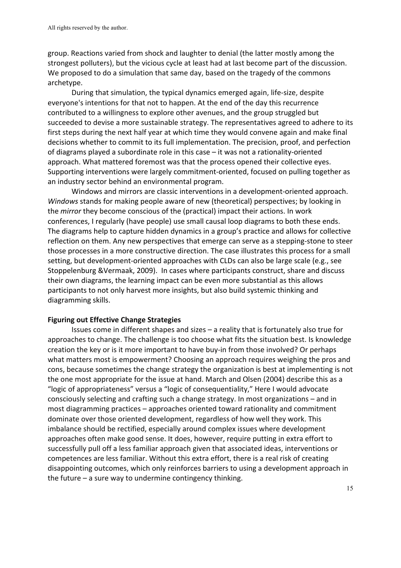group. Reactions varied from shock and laughter to denial (the latter mostly among the strongest polluters), but the vicious cycle at least had at last become part of the discussion. We proposed to do a simulation that same day, based on the tragedy of the commons archetype. 

During that simulation, the typical dynamics emerged again, life-size, despite everyone's intentions for that not to happen. At the end of the day this recurrence contributed to a willingness to explore other avenues, and the group struggled but succeeded to devise a more sustainable strategy. The representatives agreed to adhere to its first steps during the next half year at which time they would convene again and make final decisions whether to commit to its full implementation. The precision, proof, and perfection of diagrams played a subordinate role in this case  $-$  it was not a rationality-oriented approach. What mattered foremost was that the process opened their collective eyes. Supporting interventions were largely commitment-oriented, focused on pulling together as an industry sector behind an environmental program.

Windows and mirrors are classic interventions in a development-oriented approach. *Windows* stands for making people aware of new (theoretical) perspectives; by looking in the *mirror* they become conscious of the (practical) impact their actions. In work conferences, I regularly (have people) use small causal loop diagrams to both these ends. The diagrams help to capture hidden dynamics in a group's practice and allows for collective reflection on them. Any new perspectives that emerge can serve as a stepping-stone to steer those processes in a more constructive direction. The case illustrates this process for a small setting, but development-oriented approaches with CLDs can also be large scale (e.g., see Stoppelenburg &Vermaak, 2009). In cases where participants construct, share and discuss their own diagrams, the learning impact can be even more substantial as this allows participants to not only harvest more insights, but also build systemic thinking and diagramming skills.

#### **Figuring out Effective Change Strategies**

Issues come in different shapes and sizes – a reality that is fortunately also true for approaches to change. The challenge is too choose what fits the situation best. Is knowledge creation the key or is it more important to have buy-in from those involved? Or perhaps what matters most is empowerment? Choosing an approach requires weighing the pros and cons, because sometimes the change strategy the organization is best at implementing is not the one most appropriate for the issue at hand. March and Olsen (2004) describe this as a "logic of appropriateness" versus a "logic of consequentiality," Here I would advocate consciously selecting and crafting such a change strategy. In most organizations – and in most diagramming practices – approaches oriented toward rationality and commitment dominate over those oriented development, regardless of how well they work. This imbalance should be rectified, especially around complex issues where development approaches often make good sense. It does, however, require putting in extra effort to successfully pull off a less familiar approach given that associated ideas, interventions or competences are less familiar. Without this extra effort, there is a real risk of creating disappointing outcomes, which only reinforces barriers to using a development approach in the future – a sure way to undermine contingency thinking.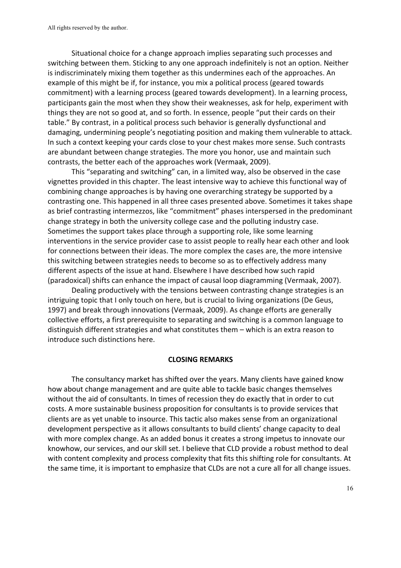Situational choice for a change approach implies separating such processes and switching between them. Sticking to any one approach indefinitely is not an option. Neither is indiscriminately mixing them together as this undermines each of the approaches. An example of this might be if, for instance, you mix a political process (geared towards commitment) with a learning process (geared towards development). In a learning process, participants gain the most when they show their weaknesses, ask for help, experiment with things they are not so good at, and so forth. In essence, people "put their cards on their table." By contrast, in a political process such behavior is generally dysfunctional and damaging, undermining people's negotiating position and making them vulnerable to attack. In such a context keeping your cards close to your chest makes more sense. Such contrasts are abundant between change strategies. The more you honor, use and maintain such contrasts, the better each of the approaches work (Vermaak, 2009).

This "separating and switching" can, in a limited way, also be observed in the case vignettes provided in this chapter. The least intensive way to achieve this functional way of combining change approaches is by having one overarching strategy be supported by a contrasting one. This happened in all three cases presented above. Sometimes it takes shape as brief contrasting intermezzos, like "commitment" phases interspersed in the predominant change strategy in both the university college case and the polluting industry case. Sometimes the support takes place through a supporting role, like some learning interventions in the service provider case to assist people to really hear each other and look for connections between their ideas. The more complex the cases are, the more intensive this switching between strategies needs to become so as to effectively address many different aspects of the issue at hand. Elsewhere I have described how such rapid (paradoxical) shifts can enhance the impact of causal loop diagramming (Vermaak, 2007).

Dealing productively with the tensions between contrasting change strategies is an intriguing topic that I only touch on here, but is crucial to living organizations (De Geus, 1997) and break through innovations (Vermaak, 2009). As change efforts are generally collective efforts, a first prerequisite to separating and switching is a common language to distinguish different strategies and what constitutes them – which is an extra reason to introduce such distinctions here.

#### **CLOSING REMARKS**

The consultancy market has shifted over the years. Many clients have gained know how about change management and are quite able to tackle basic changes themselves without the aid of consultants. In times of recession they do exactly that in order to cut costs. A more sustainable business proposition for consultants is to provide services that clients are as yet unable to insource. This tactic also makes sense from an organizational development perspective as it allows consultants to build clients' change capacity to deal with more complex change. As an added bonus it creates a strong impetus to innovate our knowhow, our services, and our skill set. I believe that CLD provide a robust method to deal with content complexity and process complexity that fits this shifting role for consultants. At the same time, it is important to emphasize that CLDs are not a cure all for all change issues.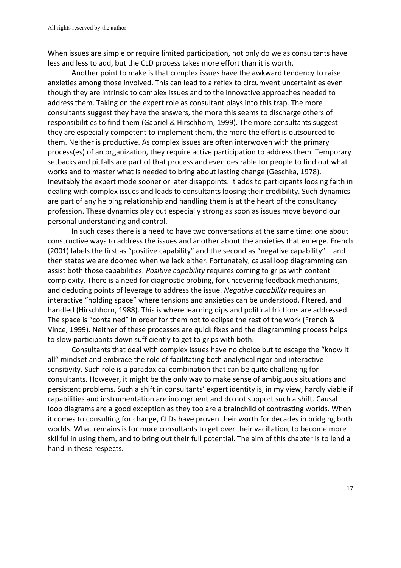When issues are simple or require limited participation, not only do we as consultants have less and less to add, but the CLD process takes more effort than it is worth.

Another point to make is that complex issues have the awkward tendency to raise anxieties among those involved. This can lead to a reflex to circumvent uncertainties even though they are intrinsic to complex issues and to the innovative approaches needed to address them. Taking on the expert role as consultant plays into this trap. The more consultants suggest they have the answers, the more this seems to discharge others of responsibilities to find them (Gabriel & Hirschhorn, 1999). The more consultants suggest they are especially competent to implement them, the more the effort is outsourced to them. Neither is productive. As complex issues are often interwoven with the primary process(es) of an organization, they require active participation to address them. Temporary setbacks and pitfalls are part of that process and even desirable for people to find out what works and to master what is needed to bring about lasting change (Geschka, 1978). Inevitably the expert mode sooner or later disappoints. It adds to participants loosing faith in dealing with complex issues and leads to consultants loosing their credibility. Such dynamics are part of any helping relationship and handling them is at the heart of the consultancy profession. These dynamics play out especially strong as soon as issues move beyond our personal understanding and control.

In such cases there is a need to have two conversations at the same time: one about constructive ways to address the issues and another about the anxieties that emerge. French (2001) labels the first as "positive capability" and the second as "negative capability" – and then states we are doomed when we lack either. Fortunately, causal loop diagramming can assist both those capabilities. *Positive capability* requires coming to grips with content complexity. There is a need for diagnostic probing, for uncovering feedback mechanisms, and deducing points of leverage to address the issue. *Negative capability* requires an interactive "holding space" where tensions and anxieties can be understood, filtered, and handled (Hirschhorn, 1988). This is where learning dips and political frictions are addressed. The space is "contained" in order for them not to eclipse the rest of the work (French & Vince, 1999). Neither of these processes are quick fixes and the diagramming process helps to slow participants down sufficiently to get to grips with both.

Consultants that deal with complex issues have no choice but to escape the "know it all" mindset and embrace the role of facilitating both analytical rigor and interactive sensitivity. Such role is a paradoxical combination that can be quite challenging for consultants. However, it might be the only way to make sense of ambiguous situations and persistent problems. Such a shift in consultants' expert identity is, in my view, hardly viable if capabilities and instrumentation are incongruent and do not support such a shift. Causal loop diagrams are a good exception as they too are a brainchild of contrasting worlds. When it comes to consulting for change, CLDs have proven their worth for decades in bridging both worlds. What remains is for more consultants to get over their vacillation, to become more skillful in using them, and to bring out their full potential. The aim of this chapter is to lend a hand in these respects.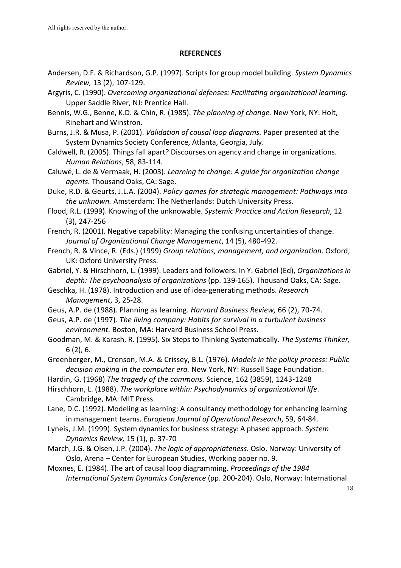#### **REFERENCES**

- Andersen, D.F. & Richardson, G.P. (1997). Scripts for group model building. *System Dynamics Review,* 13 (2), 107-129.
- Argyris, C. (1990). *Overcoming organizational defenses: Facilitating organizational learning.* Upper Saddle River, NJ: Prentice Hall.
- Bennis, W.G., Benne, K.D. & Chin, R. (1985). *The planning of change.* New York, NY: Holt, Rinehart and Winstron.
- Burns, J.R. & Musa, P. (2001). *Validation of causal loop diagrams.* Paper presented at the System Dynamics Society Conference, Atlanta, Georgia, July.
- Caldwell, R. (2005). Things fall apart? Discourses on agency and change in organizations. *Human Relations*, 58, 83-114.
- Caluwé, L. de & Vermaak, H. (2003). *Learning to change: A guide for organization change* agents. Thousand Oaks, CA: Sage.
- Duke, R.D. & Geurts, J.L.A. (2004). *Policy games for strategic management: Pathways into* the unknown. Amsterdam: The Netherlands: Dutch University Press.
- Flood, R.L. (1999). Knowing of the unknowable. Systemic Practice and Action Research, 12  $(3)$ , 247-256
- French, R. (2001). Negative capability: Managing the confusing uncertainties of change. *Journal of Organizational Change Management*, 14 (5), 480-492.
- French, R. & Vince, R. (Eds.) (1999) Group relations, management, and organization. Oxford, UK: Oxford University Press.
- Gabriel, Y. & Hirschhorn, L. (1999). Leaders and followers. In Y. Gabriel (Ed), *Organizations in* depth: The psychoanalysis of organizations (pp. 139-165). Thousand Oaks, CA: Sage.
- Geschka, H. (1978). Introduction and use of idea-generating methods. *Research Management*, 3, 25-28.
- Geus, A.P. de (1988). Planning as learning. *Harvard Business Review,* 66 (2), 70-74.
- Geus, A.P. de (1997). *The living company: Habits for survival in a turbulent business environment.* Boston, MA: Harvard Business School Press.
- Goodman, M. & Karash, R. (1995). Six Steps to Thinking Systematically. The Systems Thinker, 6 (2), 6.
- Greenberger, M., Crenson, M.A. & Crissey, B.L. (1976). *Models in the policy process: Public* decision making in the computer era. New York, NY: Russell Sage Foundation.
- Hardin, G. (1968) The tragedy of the commons. Science, 162 (3859), 1243-1248
- Hirschhorn, L. (1988). *The workplace within: Psychodynamics of organizational life.* Cambridge, MA: MIT Press.
- Lane, D.C. (1992). Modeling as learning: A consultancy methodology for enhancing learning in management teams. *European Journal of Operational Research*, 59, 64-84.
- Lyneis, J.M. (1999). System dynamics for business strategy: A phased approach. System *Dynamics Review,* 15 (1), p. 37-70
- March, J.G. & Olsen, J.P. (2004). *The logic of appropriateness*. Oslo, Norway: University of Oslo, Arena - Center for European Studies, Working paper no. 9.
- Moxnes, E. (1984). The art of causal loop diagramming. *Proceedings of the 1984 International System Dynamics Conference* (pp. 200-204). Oslo, Norway: International